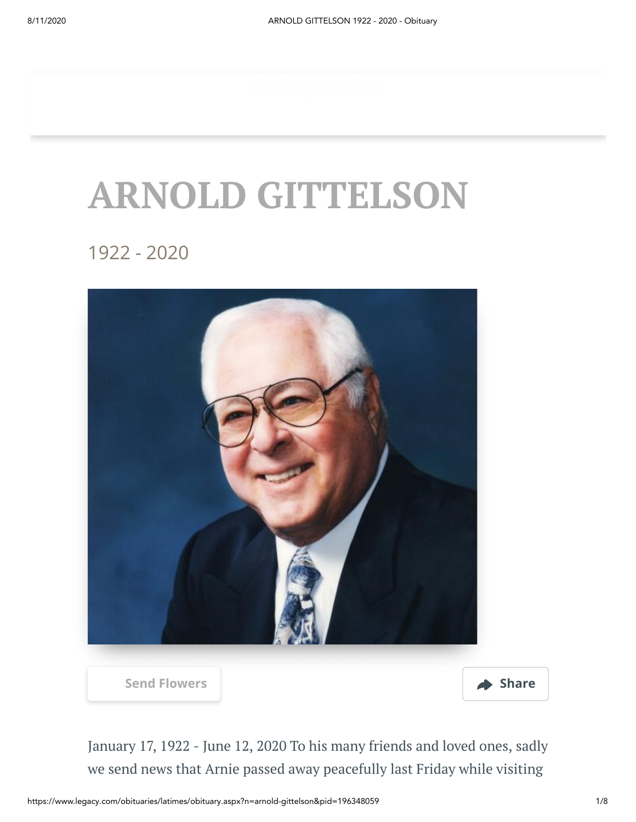# **ARNOLD GITTELSON**

1922 - 2020



January 17, 1922 - June 12, 2020 To his many friends and loved ones, sadly we send news that Arnie passed away peacefully last Friday while visiting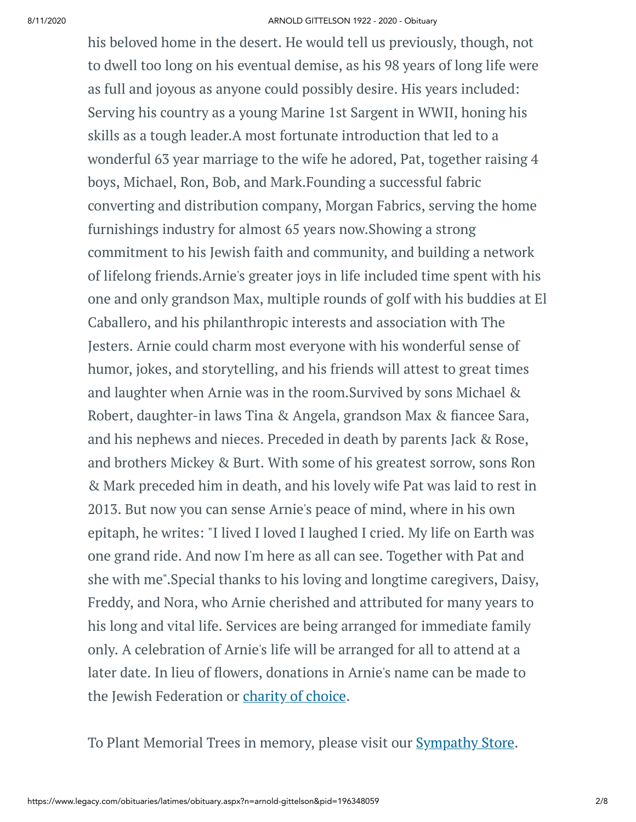his beloved home in the desert. He would tell us previously, though, not to dwell too long on his eventual demise, as his 98 years of long life were as full and joyous as anyone could possibly desire. His years included: Serving his country as a young Marine 1st Sargent in WWII, honing his skills as a tough leader.A most fortunate introduction that led to a wonderful 63 year marriage to the wife he adored, Pat, together raising 4 boys, Michael, Ron, Bob, and Mark.Founding a successful fabric converting and distribution company, Morgan Fabrics, serving the home furnishings industry for almost 65 years now.Showing a strong commitment to his Jewish faith and community, and building a network of lifelong friends.Arnie's greater joys in life included time spent with his one and only grandson Max, multiple rounds of golf with his buddies at El Caballero, and his philanthropic interests and association with The Jesters. Arnie could charm most everyone with his wonderful sense of humor, jokes, and storytelling, and his friends will attest to great times and laughter when Arnie was in the room.Survived by sons Michael & Robert, daughter-in laws Tina & Angela, grandson Max & fiancee Sara, and his nephews and nieces. Preceded in death by parents Jack & Rose, and brothers Mickey & Burt. With some of his greatest sorrow, sons Ron & Mark preceded him in death, and his lovely wife Pat was laid to rest in 2013. But now you can sense Arnie's peace of mind, where in his own epitaph, he writes: "I lived I loved I laughed I cried. My life on Earth was one grand ride. And now I'm here as all can see. Together with Pat and she with me".Special thanks to his loving and longtime caregivers, Daisy, Freddy, and Nora, who Arnie cherished and attributed for many years to his long and vital life. Services are being arranged for immediate family only. A celebration of Arnie's life will be arranged for all to attend at a later date. In lieu of flowers, donations in Arnie's name can be made to the Jewish Federation or [charity](http://www.legacy.com/obituaries/LATimes/condolences-charities.aspx?keyword=coycalz&pid=196348059) of choice.

To Plant Memorial Trees in memory, please visit our **[Sympathy](https://sympathy.legacy.com/en-us/funeral-flowers/name/arnold-gittelson-funeral-flowers/p196348059/?affiliateId=91&pm=240) Store**.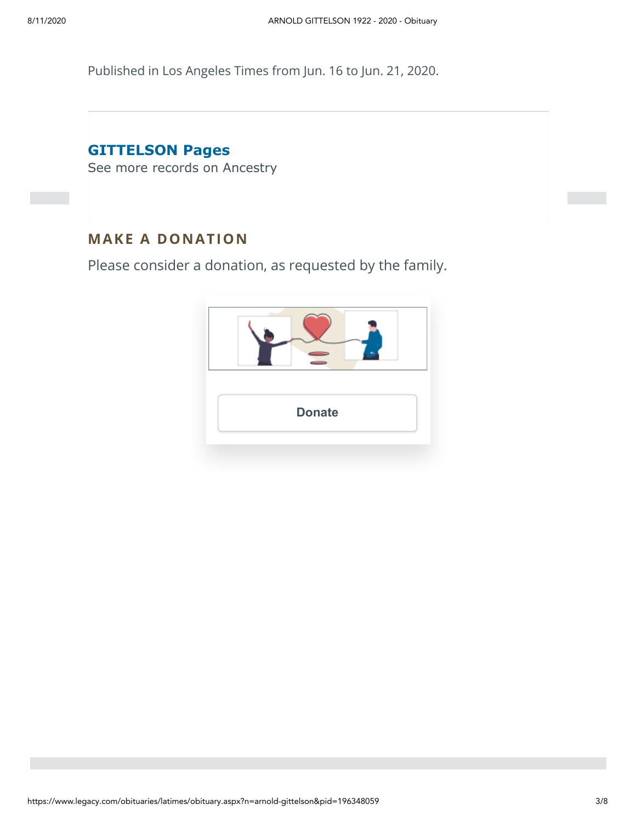Published in Los Angeles Times from Jun. 16 to Jun. 21, 2020.

## **GITTELSON Pages**

[See more records on Ancestry](https://adclick.g.doubleclick.net/pcs/click?xai=AKAOjsvc7yBmViaiRzXeAPxNUrra9QEcu9CE6N8MctQnUzdOkuYO2tDhDwSqXyG3OMnsATeOF6cymLcJKiXoQtwZC6B7bIipBo_JYXv2R6on2Tyj7g0_coNI5jtn6ty_xMs_lnC83l8Oc_ih3pkiUA4Xcxw5C1_eVcc6JtLNzudO6OZOD5pDuC8CTQa8DHyW95vWgknR19QEECLz6Fp7viZdJR_QyAQPuS-3t0KMn_j3PXFYKH2FH4CDLBx6L9MOp_v7-K_DUiorzLCj2oqSw4SH0S4XbvIo0v2fX-pFXt0Ol9NrNO_cnD5ixw&sig=Cg0ArKJSzIDkX7akMo3BEAE&urlfix=1&adurl=https://prf.hn/click/camref:1101l3yjc/adref:77841/destination:https://www.ancestry.com/cs/partner-records%3FflowId%3DpartnersBirth%26gsfn%3DARNOLD%26gsln%3DGITTELSON)

#### **MAKE A DONATION**

Please consider a donation, as requested by the family.

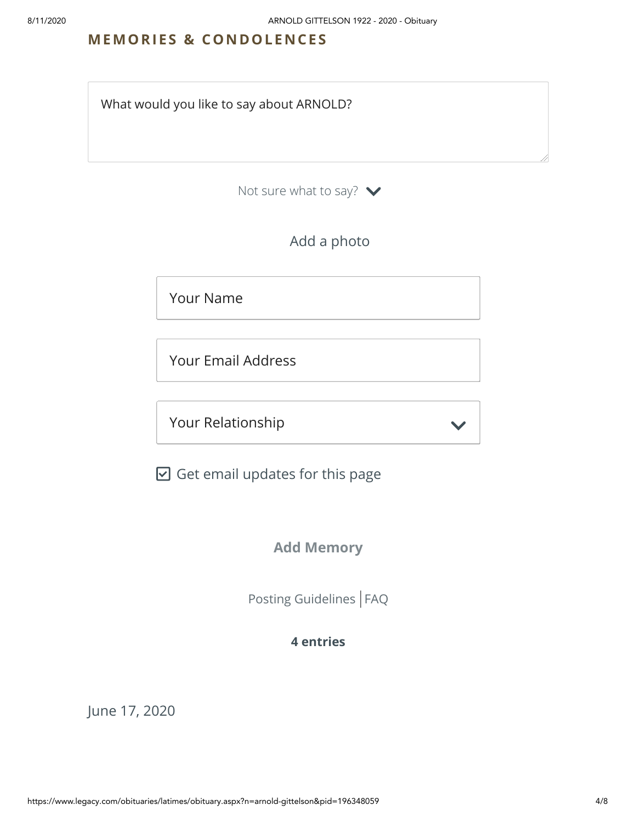#### **MEMORIES & CO N DOLE N CES**

What would you like to say about ARNOLD?

Not sure what to say?  $\blacktriangleright$ 

Add a photo

Your Name

Your Email Address

Your Relationship

 $\boxdot$  Get email updates for this page

#### **Add Memory**

[Posting Guidelines](https://www.legacy.com/guestbooks/posting-guidelines.aspx?n=ARNOLD-GITTELSON&pid=196348059) | [FAQ](https://www.legacy.com/guestbooks/faq.aspx?n=ARNOLD-GITTELSON&pid=196348059)

#### **4 entries**

June 17, 2020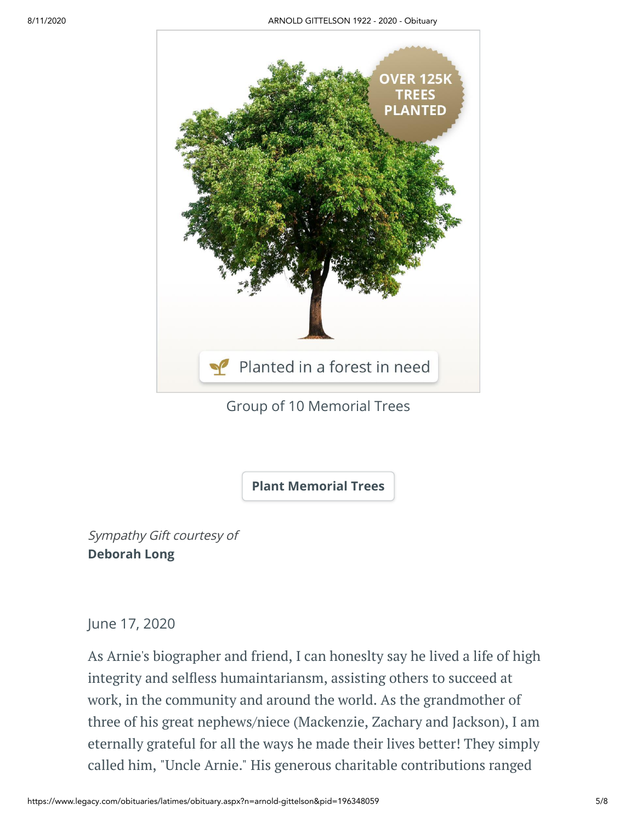

### Group of 10 Memorial Trees

**[Plant Memorial Trees](https://sympathy.legacy.com/en-us/funeral-flowers/name/arnold-gittelson-funeral-flowers/p196348059/?affiliateId=91&pm=272)**

Sympathy Gift courtesy of **Deborah Long**

June 17, 2020

As Arnie's biographer and friend, I can honeslty say he lived a life of high integrity and selfless humaintariansm, assisting others to succeed at work, in the community and around the world. As the grandmother of three of his great nephews/niece (Mackenzie, Zachary and Jackson), I am eternally grateful for all the ways he made their lives better! They simply called him, "Uncle Arnie." His generous charitable contributions ranged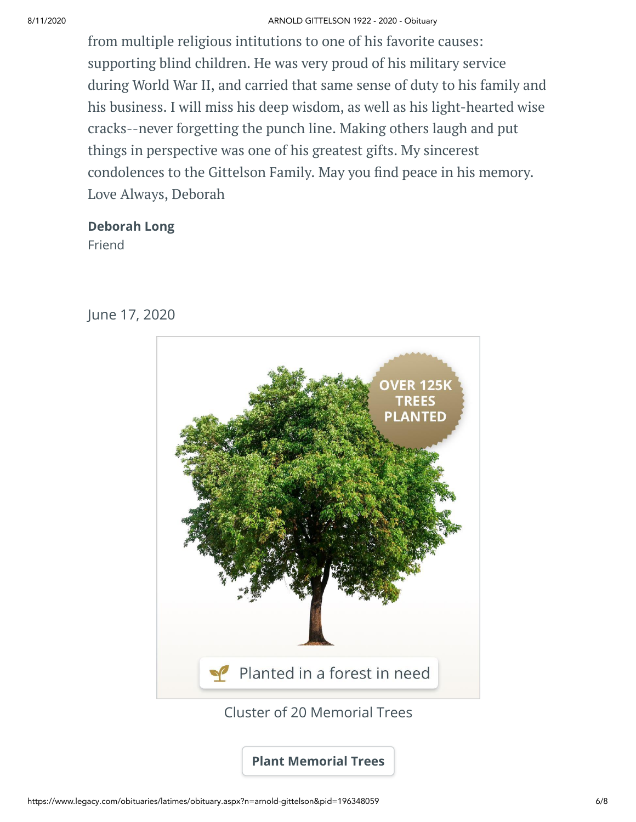#### 8/11/2020 ARNOLD GITTELSON 1922 - 2020 - Obituary

from multiple religious intitutions to one of his favorite causes: supporting blind children. He was very proud of his military service during World War II, and carried that same sense of duty to his family and his business. I will miss his deep wisdom, as well as his light-hearted wise cracks--never forgetting the punch line. Making others laugh and put things in perspective was one of his greatest gifts. My sincerest condolences to the Gittelson Family. May you find peace in his memory. Love Always, Deborah

#### **Deborah Long**

Friend



June 17, 2020

Cluster of 20 Memorial Trees

**[Plant Memorial Trees](https://sympathy.legacy.com/en-us/funeral-flowers/name/arnold-gittelson-funeral-flowers/p196348059/?affiliateId=91&pm=272)**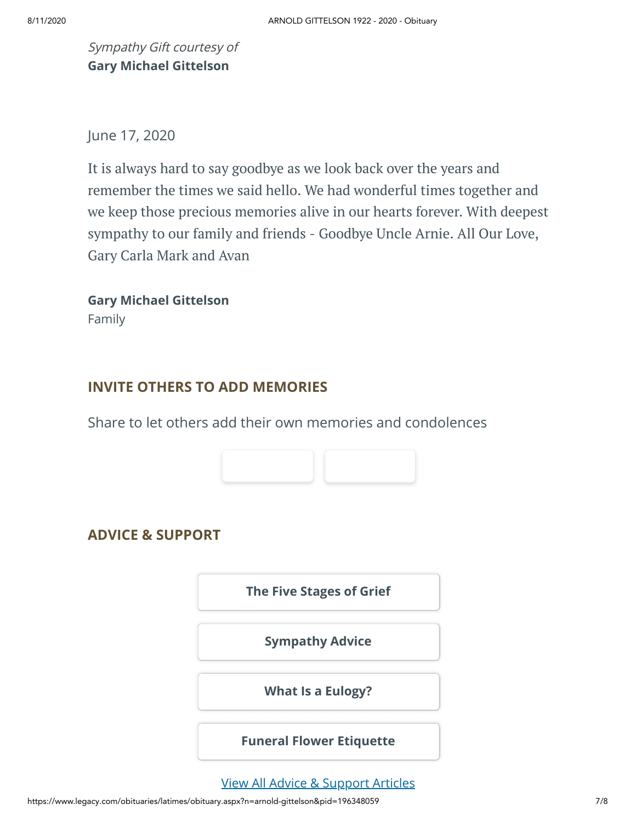Sympathy Gift courtesy of **Gary Michael Gittelson**

June 17, 2020

It is always hard to say goodbye as we look back over the years and remember the times we said hello. We had wonderful times together and we keep those precious memories alive in our hearts forever. With deepest sympathy to our family and friends - Goodbye Uncle Arnie. All Our Love, Gary Carla Mark and Avan

**Gary Michael Gittelson** Family

#### **INVITE OTHERS TO ADD MEMORIES**

Share to let others add their own memories and condolences



#### **ADVICE & SUPPORT**

**[The Five Stages of Grief](https://www.legacy.com/news/advice-and-support/article/the-five-stages-of-grief)**

**[Sympathy Advice](https://www.legacy.com/news/advice-and-support/article/sympathy-and-condolence-advice)**

**[What Is a Eulogy?](https://www.legacy.com/news/advice-and-support/article/what-is-a-eulogy)**

**[Funeral Flower Etiquette](https://sympathy.legacy.com//en-us/funeral-flowers/article/funeral-flower-etiquette/)**

[View All Advice & Support Articles](http://www.legacy.com/news/advice-and-support)